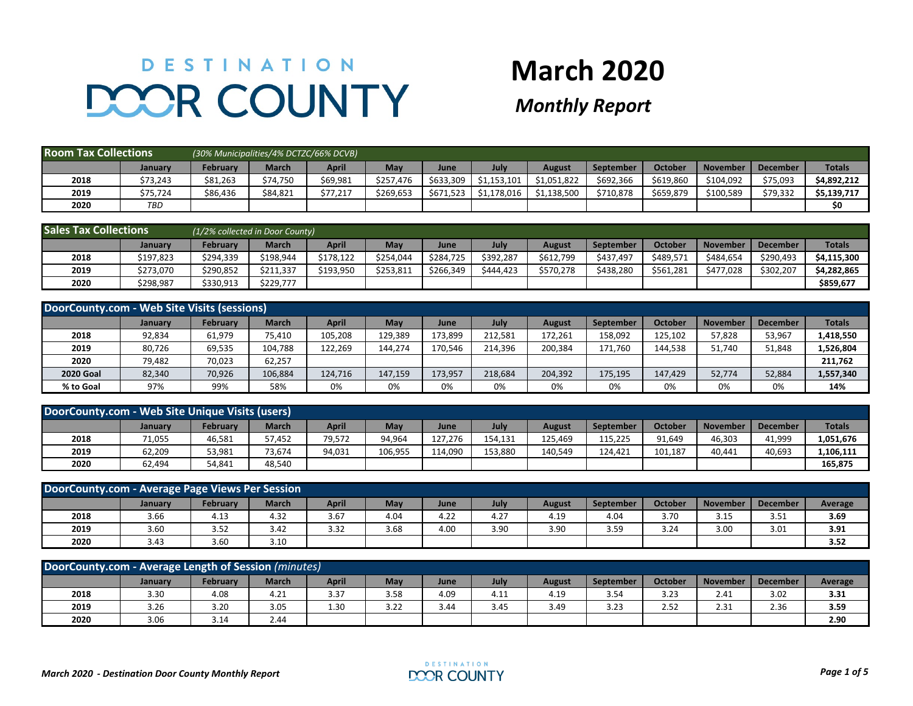## DESTINATION **DOOR COUNTY**

## **March 2020**

## *Monthly Report*

| <b>Room Tax Collections</b> |            |          | (30% Municipalities/4% DCTZC/66% DCVB) |          |           |           |             |               |           |           |                 |          |               |
|-----------------------------|------------|----------|----------------------------------------|----------|-----------|-----------|-------------|---------------|-----------|-----------|-----------------|----------|---------------|
|                             | January    | Februarv | <b>March</b>                           | April    | May       | June      | July        | <b>August</b> | September | October   | <b>November</b> | December | <b>Totals</b> |
| 2018                        | \$73,243   | \$81,263 | \$74,750                               | \$69,981 | \$257.476 | \$633.309 | \$1.153.101 | \$1,051,822   | \$692.366 | \$619,860 | \$104.092       | \$75,093 | \$4,892,212   |
| 2019                        | \$75,724   | \$86,436 | \$84,821                               | \$77,217 | \$269,653 | \$671,523 | \$1,178,016 | \$1,138,500   | \$710,878 | \$659,879 | \$100,589       | \$79,332 | \$5,139,717   |
| 2020                        | <b>TBD</b> |          |                                        |          |           |           |             |               |           |           |                 |          | S0            |

| <b>Sales Tax Collections</b> |           | (1/2% collected in Door County) |           |              |           |           |           |           |                  |           |                 |                 |               |
|------------------------------|-----------|---------------------------------|-----------|--------------|-----------|-----------|-----------|-----------|------------------|-----------|-----------------|-----------------|---------------|
|                              | Januarv   | <b>February</b>                 | March     | <b>April</b> | May       | June      | July      | August    | <b>September</b> | October   | <b>November</b> | <b>December</b> | <b>Totals</b> |
| 2018                         | \$197,823 | \$294,339                       | \$198,944 | \$178,122    | \$254,044 | \$284,725 | \$392,287 | \$612,799 | \$437,497        | \$489,571 | \$484,654       | \$290,493       | \$4,115,300   |
| 2019                         | \$273.070 | \$290.852                       | \$211,337 | \$193.950    | \$253.811 | \$266,349 | \$444.423 | \$570.278 | \$438.280        | \$561,281 | \$477.028       | \$302.207       | \$4,282,865   |
| 2020                         | \$298,987 | \$330,913                       | \$229,777 |              |           |           |           |           |                  |           |                 |                 | \$859,677     |

| DoorCounty.com - Web Site Visits (sessions) |         |                 |              |         |            |         |         |               |           |         |                 |                 |               |
|---------------------------------------------|---------|-----------------|--------------|---------|------------|---------|---------|---------------|-----------|---------|-----------------|-----------------|---------------|
|                                             | January | <b>February</b> | <b>March</b> | April   | <b>May</b> | June    | July    | <b>August</b> | September | October | <b>November</b> | <b>December</b> | <b>Totals</b> |
| 2018                                        | 92,834  | 61,979          | 75,410       | 105.208 | 129,389    | 173,899 | 212,581 | 172,261       | 158,092   | 125,102 | 57,828          | 53,967          | 1,418,550     |
| 2019                                        | 80.726  | 69,535          | 104.788      | 122.269 | 144.274    | 170.546 | 214,396 | 200.384       | 171.760   | 144,538 | 51.740          | 51,848          | 1,526,804     |
| 2020                                        | 79,482  | 70,023          | 62,257       |         |            |         |         |               |           |         |                 |                 | 211,762       |
| <b>2020 Goal</b>                            | 82,340  | 70,926          | 106,884      | 124.716 | 147.159    | 173,957 | 218,684 | 204.392       | 175,195   | 147.429 | 52,774          | 52,884          | 1,557,340     |
| % to Goal                                   | 97%     | 99%             | 58%          | 0%      | 0%         | 0%      | 0%      | 0%            | 0%        | 0%      | 0%              | 0%              | 14%           |

| DoorCounty.com - Web Site Unique Visits (users) |         |          |              |        |         |         |         |         |           |         |                 |                 |               |
|-------------------------------------------------|---------|----------|--------------|--------|---------|---------|---------|---------|-----------|---------|-----------------|-----------------|---------------|
|                                                 | January | Februarv | <b>March</b> | April  | May     | June    | July    | August  | September | October | <b>November</b> | <b>December</b> | <b>Totals</b> |
| 2018                                            | 71,055  | 46,581   | 57.452       | 79,572 | 94,964  | 127.276 | 154.131 | 125.469 | 115,225   | 91,649  | 46,303          | 41,999          | 1,051,676     |
| 2019                                            | 62,209  | 53,981   | 73,674       | 94,031 | 106,955 | 114.090 | 153,880 | 140,549 | 124.421   | 101,187 | 40.441          | 40,693          | 1,106,111     |
| 2020                                            | 62,494  | 54,841   | 48,540       |        |         |         |         |         |           |         |                 |                 | 165,875       |

| DoorCounty.com - Average Page Views Per Session                                                                                      |      |      |      |      |      |      |      |      |      |      |      |      |         |
|--------------------------------------------------------------------------------------------------------------------------------------|------|------|------|------|------|------|------|------|------|------|------|------|---------|
| October<br><b>March</b><br>April<br>July<br>Februarv<br>May<br>November<br><b>December</b><br>September<br>August<br>January<br>June |      |      |      |      |      |      |      |      |      |      |      |      | Average |
| 2018                                                                                                                                 | 3.66 | 4.13 | 4.32 | 3.67 | 4.04 | 4.22 | 4.27 | 4.19 | 4.04 | 3.70 | 3.15 | 3.51 | 3.69    |
| 2019                                                                                                                                 | 3.60 | 3.52 | 3.42 | 3.32 | 3.68 | 4.00 | 3.90 | 3.90 | 3.59 | 3.24 | 3.00 | 3.01 | 3.91    |
| 2020                                                                                                                                 | 3.43 | 3.60 | 3.10 |      |      |      |      |      |      |      |      |      | 3.52    |

| DoorCounty.com - Average Length of Session (minutes)                                                                                                      |      |      |      |      |      |      |      |      |      |      |      |      |         |
|-----------------------------------------------------------------------------------------------------------------------------------------------------------|------|------|------|------|------|------|------|------|------|------|------|------|---------|
| <b>March</b><br>October<br>February<br>April<br>May<br><b>November</b><br>July<br><b>August</b><br><b>September</b><br><b>December</b><br>June<br>January |      |      |      |      |      |      |      |      |      |      |      |      | Average |
| 2018                                                                                                                                                      | 3.30 | 4.08 | 4.21 | 3.37 | 3.58 | 4.09 | 4.LL | 4.19 | 3.54 | 3.23 | 2.41 | 3.02 | 3.31    |
| 2019                                                                                                                                                      | 3.26 | 3.20 | 3.05 | 1.30 | 3.22 | 3.44 | 3.45 | 3.49 | 3.23 | 2.52 | 2.31 | 2.36 | 3.59    |
| 2020                                                                                                                                                      | 3.06 | 3.14 | 2.44 |      |      |      |      |      |      |      |      |      | 2.90    |

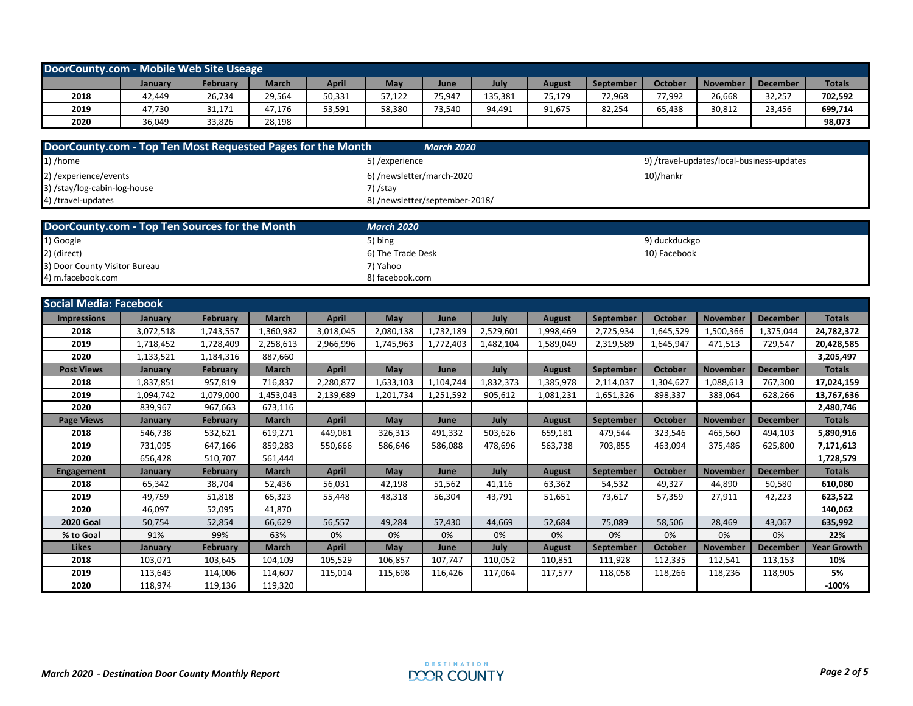| DoorCounty.com - Mobile Web Site Useage |         |          |              |              |        |        |         |               |                  |         |                 |                 |               |
|-----------------------------------------|---------|----------|--------------|--------------|--------|--------|---------|---------------|------------------|---------|-----------------|-----------------|---------------|
|                                         | January | February | <b>March</b> | <b>April</b> | May    | June   | July    | <b>August</b> | <b>September</b> | October | <b>November</b> | <b>December</b> | <b>Totals</b> |
| 2018                                    | 42.449  | 26,734   | 29,564       | 50,331       | 57.122 | 75,947 | 135,381 | 75,179        | 72.968           | 77.992  | 26,668          | 32,257          | 702,592       |
| 2019                                    | 47,730  | 31,171   | 47.176       | 53,591       | 58,380 | 73,540 | 94.491  | 91,675        | 82,254           | 65,438  | 30,812          | 23.456          | 699,714       |
| 2020                                    | 36,049  | 33,826   | 28,198       |              |        |        |         |               |                  |         |                 |                 | 98,073        |

| DoorCounty.com - Top Ten Most Requested Pages for the Month | <b>March 2020</b>              |                                           |
|-------------------------------------------------------------|--------------------------------|-------------------------------------------|
| $\vert$ 1) /home                                            | 5) /experience                 | 9) /travel-updates/local-business-updates |
| 2) / experience/ events                                     | 6) /newsletter/march-2020      | 10)/hankr                                 |
| 3) /stay/log-cabin-log-house                                | 7) /stay                       |                                           |
| 4) /travel-updates                                          | 8) /newsletter/september-2018/ |                                           |

| DoorCounty.com - Top Ten Sources for the Month | <b>March 2020</b> |               |  |
|------------------------------------------------|-------------------|---------------|--|
| 1) Google                                      | 5) bing           | 9) duckduckgo |  |
| 2) (direct)                                    | 6) The Trade Desk | 10) Facebook  |  |
| 3) Door County Visitor Bureau                  | 7) Yahoo          |               |  |
| 4) m.facebook.com                              | 8) facebook.com   |               |  |

| <b>Social Media: Facebook</b> |           |                 |              |              |            |             |           |               |                  |                |                 |                 |                    |
|-------------------------------|-----------|-----------------|--------------|--------------|------------|-------------|-----------|---------------|------------------|----------------|-----------------|-----------------|--------------------|
| <b>Impressions</b>            | January   | <b>February</b> | <b>March</b> | <b>April</b> | <b>May</b> | June        | July      | <b>August</b> | <b>September</b> | October        | <b>November</b> | <b>December</b> | <b>Totals</b>      |
| 2018                          | 3,072,518 | 1,743,557       | 1,360,982    | 3,018,045    | 2,080,138  | 1,732,189   | 2,529,601 | 1,998,469     | 2,725,934        | 1,645,529      | 1,500,366       | 1,375,044       | 24,782,372         |
| 2019                          | 1,718,452 | 1,728,409       | 2,258,613    | 2,966,996    | 1,745,963  | 1,772,403   | 1,482,104 | 1,589,049     | 2,319,589        | 1,645,947      | 471,513         | 729,547         | 20,428,585         |
| 2020                          | 1,133,521 | 1,184,316       | 887,660      |              |            |             |           |               |                  |                |                 |                 | 3,205,497          |
| <b>Post Views</b>             | January   | <b>February</b> | <b>March</b> | <b>April</b> | May        | <b>June</b> | July      | August        | <b>September</b> | <b>October</b> | <b>November</b> | <b>December</b> | <b>Totals</b>      |
| 2018                          | 1,837,851 | 957,819         | 716,837      | 2,280,877    | 1,633,103  | 1,104,744   | 1,832,373 | 1,385,978     | 2,114,037        | 1,304,627      | 1,088,613       | 767,300         | 17,024,159         |
| 2019                          | 1,094,742 | 1,079,000       | 1,453,043    | 2,139,689    | 1,201,734  | 1,251,592   | 905,612   | 1,081,231     | 1,651,326        | 898,337        | 383,064         | 628,266         | 13,767,636         |
| 2020                          | 839,967   | 967,663         | 673,116      |              |            |             |           |               |                  |                |                 |                 | 2,480,746          |
| <b>Page Views</b>             | January   | <b>February</b> | <b>March</b> | <b>April</b> | May        | June        | July      | <b>August</b> | September        | <b>October</b> | <b>November</b> | <b>December</b> | <b>Totals</b>      |
| 2018                          | 546,738   | 532,621         | 619,271      | 449,081      | 326,313    | 491,332     | 503,626   | 659,181       | 479,544          | 323,546        | 465,560         | 494,103         | 5,890,916          |
| 2019                          | 731,095   | 647,166         | 859,283      | 550,666      | 586,646    | 586,088     | 478,696   | 563,738       | 703,855          | 463,094        | 375,486         | 625,800         | 7,171,613          |
| 2020                          | 656,428   | 510,707         | 561,444      |              |            |             |           |               |                  |                |                 |                 | 1,728,579          |
| <b>Engagement</b>             | January   | <b>February</b> | <b>March</b> | <b>April</b> | May        | June        | July      | <b>August</b> | <b>September</b> | <b>October</b> | <b>November</b> | <b>December</b> | <b>Totals</b>      |
| 2018                          | 65,342    | 38,704          | 52,436       | 56,031       | 42,198     | 51,562      | 41,116    | 63,362        | 54,532           | 49,327         | 44,890          | 50,580          | 610,080            |
| 2019                          | 49,759    | 51,818          | 65,323       | 55,448       | 48,318     | 56,304      | 43,791    | 51,651        | 73,617           | 57,359         | 27,911          | 42,223          | 623,522            |
| 2020                          | 46,097    | 52,095          | 41,870       |              |            |             |           |               |                  |                |                 |                 | 140,062            |
| <b>2020 Goal</b>              | 50,754    | 52,854          | 66,629       | 56,557       | 49,284     | 57,430      | 44,669    | 52,684        | 75,089           | 58,506         | 28,469          | 43,067          | 635,992            |
| % to Goal                     | 91%       | 99%             | 63%          | 0%           | 0%         | 0%          | 0%        | 0%            | 0%               | 0%             | 0%              | 0%              | 22%                |
| <b>Likes</b>                  | January   | <b>February</b> | <b>March</b> | <b>April</b> | May        | June        | July      | August        | September        | <b>October</b> | <b>November</b> | <b>December</b> | <b>Year Growth</b> |
| 2018                          | 103,071   | 103,645         | 104,109      | 105,529      | 106,857    | 107,747     | 110,052   | 110,851       | 111,928          | 112,335        | 112,541         | 113,153         | 10%                |
| 2019                          | 113,643   | 114,006         | 114,607      | 115,014      | 115,698    | 116,426     | 117,064   | 117,577       | 118,058          | 118,266        | 118,236         | 118,905         | 5%                 |
| 2020                          | 118,974   | 119.136         | 119,320      |              |            |             |           |               |                  |                |                 |                 | $-100%$            |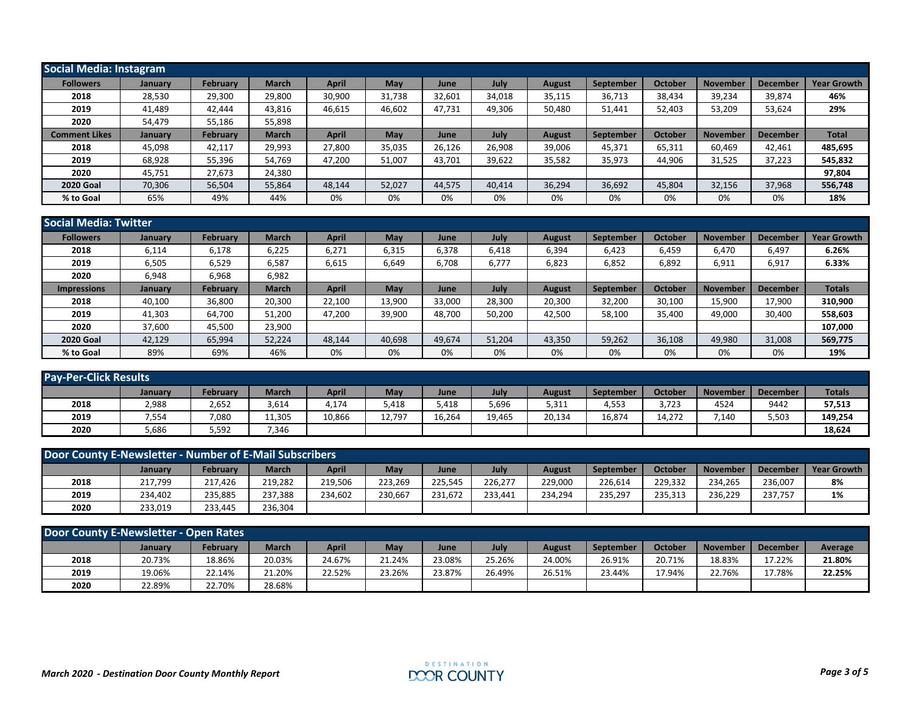| <b>Social Media: Instagram</b> |         |                 |              |              |        |        |             |               |           |         |                 |                 |                    |
|--------------------------------|---------|-----------------|--------------|--------------|--------|--------|-------------|---------------|-----------|---------|-----------------|-----------------|--------------------|
| <b>Followers</b>               | January | February        | <b>March</b> | <b>April</b> | May    | June   | <b>July</b> | <b>August</b> | September | October | <b>November</b> | <b>December</b> | <b>Year Growth</b> |
| 2018                           | 28,530  | 29,300          | 29,800       | 30,900       | 31.738 | 32,601 | 34,018      | 35,115        | 36,713    | 38,434  | 39,234          | 39,874          | 46%                |
| 2019                           | 41,489  | 42.444          | 43,816       | 46,615       | 46,602 | 47,731 | 49,306      | 50,480        | 51,441    | 52,403  | 53,209          | 53,624          | 29%                |
| 2020                           | 54,479  | 55,186          | 55,898       |              |        |        |             |               |           |         |                 |                 |                    |
| <b>Comment Likes</b>           | January | <b>February</b> | <b>March</b> | <b>April</b> | May    | June   | <b>July</b> | August        | September | October | <b>November</b> | <b>December</b> | <b>Total</b>       |
| 2018                           | 45,098  | 42,117          | 29,993       | 27,800       | 35,035 | 26,126 | 26,908      | 39,006        | 45,371    | 65,311  | 60,469          | 42,461          | 485,695            |
| 2019                           | 68,928  | 55,396          | 54.769       | 47,200       | 51,007 | 43,701 | 39,622      | 35,582        | 35,973    | 44,906  | 31,525          | 37,223          | 545,832            |
| 2020                           | 45,751  | 27,673          | 24,380       |              |        |        |             |               |           |         |                 |                 | 97,804             |
| <b>2020 Goal</b>               | 70,306  | 56,504          | 55,864       | 48,144       | 52,027 | 44,575 | 40,414      | 36,294        | 36,692    | 45,804  | 32,156          | 37,968          | 556,748            |
| % to Goal                      | 65%     | 49%             | 44%          | 0%           | 0%     | 0%     | 0%          | 0%            | 0%        | 0%      | 0%              | 0%              | 18%                |

| Social Media: Twitter |                |                 |              |              |            |        |        |               |           |                |                 |                 |                    |
|-----------------------|----------------|-----------------|--------------|--------------|------------|--------|--------|---------------|-----------|----------------|-----------------|-----------------|--------------------|
| <b>Followers</b>      | <b>January</b> | <b>February</b> | <b>March</b> | <b>April</b> | <b>May</b> | June   | July   | <b>August</b> | September | October        | <b>November</b> | <b>December</b> | <b>Year Growth</b> |
| 2018                  | 6,114          | 6,178           | 6,225        | 6,271        | 6,315      | 6,378  | 6,418  | 6,394         | 6,423     | 6,459          | 6,470           | 6,497           | 6.26%              |
| 2019                  | 6,505          | 6,529           | 6,587        | 6,615        | 6,649      | 6,708  | 6,777  | 6,823         | 6,852     | 6,892          | 6,911           | 6,917           | 6.33%              |
| 2020                  | 6,948          | 6,968           | 6,982        |              |            |        |        |               |           |                |                 |                 |                    |
| <b>Impressions</b>    | January        | <b>February</b> | <b>March</b> | <b>April</b> | May        | June   | July   | <b>August</b> | September | <b>October</b> | <b>November</b> | <b>December</b> | <b>Totals</b>      |
| 2018                  | 40,100         | 36,800          | 20,300       | 22,100       | 13,900     | 33,000 | 28,300 | 20,300        | 32,200    | 30,100         | 15,900          | 17,900          | 310,900            |
| 2019                  | 41,303         | 64,700          | 51,200       | 47,200       | 39,900     | 48,700 | 50,200 | 42,500        | 58,100    | 35,400         | 49,000          | 30,400          | 558,603            |
| 2020                  | 37.600         | 45,500          | 23,900       |              |            |        |        |               |           |                |                 |                 | 107,000            |
| <b>2020 Goal</b>      | 42,129         | 65,994          | 52,224       | 48.144       | 40.698     | 49,674 | 51.204 | 43,350        | 59,262    | 36,108         | 49,980          | 31,008          | 569,775            |
| % to Goal             | 89%            | 69%             | 46%          | 0%           | 0%         | 0%     | 0%     | 0%            | 0%        | 0%             | 0%              | 0%              | 19%                |

| <b>Pay-Per-Click Results</b> |         |                 |              |        |        |        |        |               |                  |         |                 |                 |               |
|------------------------------|---------|-----------------|--------------|--------|--------|--------|--------|---------------|------------------|---------|-----------------|-----------------|---------------|
|                              | January | <b>February</b> | <b>March</b> | April  | May    | June   | July   | <b>August</b> | <b>September</b> | October | <b>November</b> | <b>December</b> | <b>Totals</b> |
| 2018                         | 2,988   | 2,652           | 3,614        | 4,174  | 5,418  | 5,418  | 5,696  | 5,311         | 4,553            | 3,723   | 4524            | 9442            | 57,513        |
| 2019                         | 7,554   | 7,080           | 11,305       | 10,866 | 12,797 | 16,264 | 19,465 | 20,134        | 16,874           | 14,272  | ,140            | 5,503           | 149,254       |
| 2020                         | 5,686   | 5,592           | 7,346        |        |        |        |        |               |                  |         |                 |                 | 18,624        |

| Door County E-Newsletter - Number of E-Mail Subscribers |         |                 |              |         |         |         |         |               |                  |         |                 |          |                    |
|---------------------------------------------------------|---------|-----------------|--------------|---------|---------|---------|---------|---------------|------------------|---------|-----------------|----------|--------------------|
|                                                         | January | <b>February</b> | <b>March</b> | April   | May     | June    | July    | <b>August</b> | <b>September</b> | October | <b>November</b> | December | <b>Year Growth</b> |
| 2018                                                    | 217,799 | 217.426         | 219,282      | 219,506 | 223,269 | 225,545 | 226,277 | 229,000       | 226,614          | 229,332 | 234.265         | 236,007  | 8%                 |
| 2019                                                    | 234.402 | 235,885         | 237,388      | 234,602 | 230,667 | 231.672 | 233.441 | 234.294       | 235,297          | 235,313 | 236.229         | 237.757  | 1%                 |
| 2020                                                    | 233.019 | 233.445         | 236,304      |         |         |         |         |               |                  |         |                 |          |                    |

| Door County E-Newsletter - Open Rates |                |          |              |              |        |        |        |               |           |         |          |                 |         |
|---------------------------------------|----------------|----------|--------------|--------------|--------|--------|--------|---------------|-----------|---------|----------|-----------------|---------|
|                                       | <b>January</b> | Februarv | <b>March</b> | <b>April</b> | May    | June   | July   | <b>August</b> | September | October | November | <b>December</b> | Average |
| 2018                                  | 20.73%         | 18.86%   | 20.03%       | 24.67%       | 21.24% | 23.08% | 25.26% | 24.00%        | 26.91%    | 20.71%  | 18.83%   | 17.22%          | 21.80%  |
| 2019                                  | 19.06%         | 22.14%   | 21.20%       | 22.52%       | 23.26% | 23.87% | 26.49% | 26.51%        | 23.44%    | 17.94%  | 22.76%   | 17.78%          | 22.25%  |
| 2020                                  | 22.89%         | 22.70%   | 28.68%       |              |        |        |        |               |           |         |          |                 |         |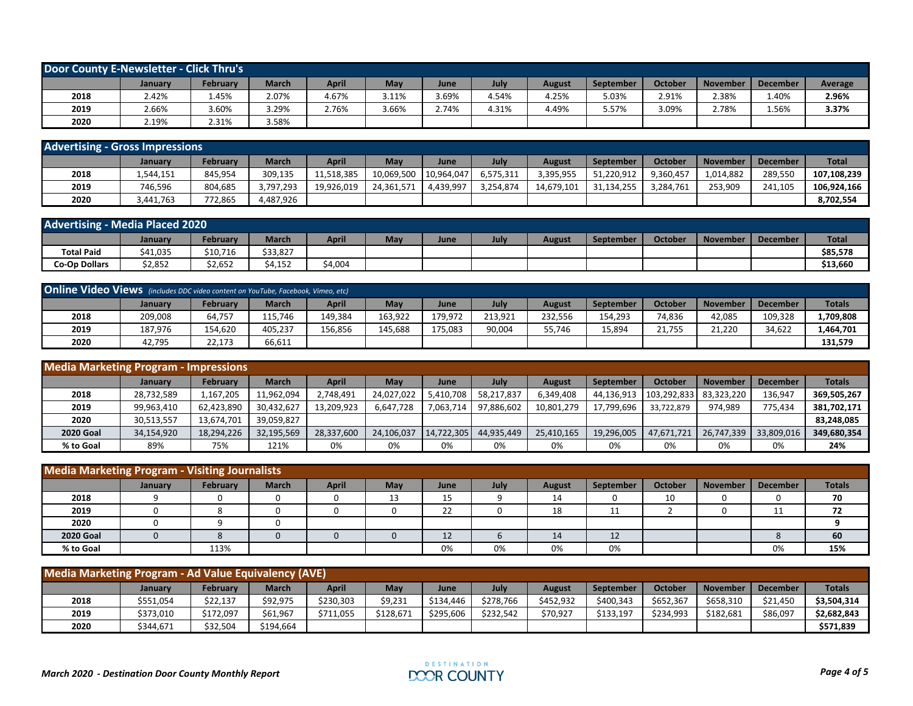| Door County E-Newsletter - Click Thru's |         |          |              |              |       |       |       |               |                  |         |                 |                 |         |
|-----------------------------------------|---------|----------|--------------|--------------|-------|-------|-------|---------------|------------------|---------|-----------------|-----------------|---------|
|                                         | January | Februarv | <b>March</b> | <b>April</b> | May   | June  | July  | <b>August</b> | <b>September</b> | October | <b>November</b> | <b>December</b> | Average |
| 2018                                    | 2.42%   | 1.45%    | 2.07%        | 4.67%        | 3.11% | 3.69% | 4.54% | 4.25%         | 5.03%            | 2.91%   | 2.38%           | 1.40%           | 2.96%   |
| 2019                                    | 2.66%   | 3.60%    | 3.29%        | 2.76%        | 3.66% | 2.74% | 4.31% | 4.49%         | 5.57%            | 3.09%   | 2.78%           | 1.56%           | 3.37%   |
| 2020                                    | 2.19%   | 2.31%    | 3.58%        |              |       |       |       |               |                  |         |                 |                 |         |

| <b>Advertising - Gross Impressions</b> |           |                 |              |              |            |            |           |               |                  |                |                 |                 |              |
|----------------------------------------|-----------|-----------------|--------------|--------------|------------|------------|-----------|---------------|------------------|----------------|-----------------|-----------------|--------------|
|                                        | January   | <b>February</b> | <b>March</b> | <b>April</b> | May        | June       | Julv      | <b>August</b> | <b>September</b> | <b>October</b> | <b>November</b> | <b>December</b> | <b>Total</b> |
| 2018                                   | 1,544,151 | 845,954         | 309,135      | 11,518,385   | 10,069,500 | 10.964.047 | 6,575,311 | 3,395,955     | 51,220,912       | 9,360,457      | 1.014.882       | 289.550         | 107.108.239  |
| 2019                                   | 746.596   | 804.685         | 3,797,293    | 19.926.019   | 24.361.571 | 4.439.997  | 3,254,874 | 14,679,101    | 31.134.255       | .284.761       | 253.909         | 241.105         | 106.924.166  |
| 2020                                   | 3.441.763 | 772,865         | 4,487,926    |              |            |            |           |               |                  |                |                 |                 | 8,702,554    |

| <b>Advertising - Media Placed 2020</b> |                |          |              |         |     |             |      |        |                  |                |                 |                 |              |
|----------------------------------------|----------------|----------|--------------|---------|-----|-------------|------|--------|------------------|----------------|-----------------|-----------------|--------------|
|                                        | <b>January</b> | February | <b>March</b> | April   | May | <b>June</b> | July | August | <b>September</b> | <b>October</b> | <b>November</b> | <b>December</b> | <b>Total</b> |
| <b>Total Paid</b>                      | \$41,035       | \$10,716 | \$33,827     |         |     |             |      |        |                  |                |                 |                 | \$85,578     |
| <b>Co-Op Dollars</b>                   | \$2,852        | \$2,652  | \$4.152      | \$4,004 |     |             |      |        |                  |                |                 |                 | \$13,660     |

| <b>Online Video Views</b> (includes DDC video content on YouTube, Facebook, Vimeo, etc) |         |          |         |              |            |         |         |         |                  |         |                 |                 |               |
|-----------------------------------------------------------------------------------------|---------|----------|---------|--------------|------------|---------|---------|---------|------------------|---------|-----------------|-----------------|---------------|
|                                                                                         | January | February | March   | <b>April</b> | <b>May</b> | June    | Julv    | August  | <b>September</b> | October | <b>November</b> | <b>December</b> | <b>Totals</b> |
| 2018                                                                                    | 209.008 | 64,757   | 115.746 | 49.384       | 163,922    | 179.972 | 213.921 | 232.556 | 154,293          | 74,836  | 42,085          | 109.328         | 1,709,808     |
| 2019                                                                                    | 187,976 | 154,620  | 405.237 | L56.856      | 145.688    | 175,083 | 90,004  | 55,746  | 15,894           | 21,755  | 21,220          | 34,622          | 1,464,701     |
| 2020                                                                                    | 42,795  | 22,173   | 66,611  |              |            |         |         |         |                  |         |                 |                 | 131,579       |

| <b>Media Marketing Program - Impressions</b> |                |                 |              |              |            |            |             |               |            |             |                 |                 |               |
|----------------------------------------------|----------------|-----------------|--------------|--------------|------------|------------|-------------|---------------|------------|-------------|-----------------|-----------------|---------------|
|                                              | <b>January</b> | <b>February</b> | <b>March</b> | <b>April</b> | May        | June       | <b>July</b> | <b>August</b> | September  | October     | <b>November</b> | <b>December</b> | <b>Totals</b> |
| 2018                                         | 28,732,589     | 167,205.        | 11,962,094   | 2.748.491    | 24,027,022 | 5,410,708  | 58,217,837  | 6,349,408     | 44,136,913 | 103,292,833 | 83,323,220      | 136,947         | 369,505,267   |
| 2019                                         | 99.963.410     | 62.423.890      | 30,432,627   | 13,209,923   | 6,647,728  | 7,063,714  | 97,886,602  | 10,801,279    | 17,799,696 | 33.722.879  | 974.989         | 775.434         | 381,702,171   |
| 2020                                         | 30,513,557     | 13,674,701      | 39,059,827   |              |            |            |             |               |            |             |                 |                 | 83,248,085    |
| <b>2020 Goal</b>                             | 34,154,920     | 18,294,226      | 32,195,569   | 28,337,600   | 24,106,037 | 14,722,305 | 44,935,449  | 25,410,165    | 19,296,005 | 47,671,721  | 26,747,339      | 33,809,016      | 349,680,354   |
| % to Goal                                    | 89%            | 75%             | 121%         | 0%           | 0%         | 0%         | 0%          | 0%            | 0%         | 0%          | 0%              | 0%              | 24%           |

| <b>Media Marketing Program - Visiting Journalists</b> |         |          |              |              |            |                     |      |               |           |                |          |                 |               |
|-------------------------------------------------------|---------|----------|--------------|--------------|------------|---------------------|------|---------------|-----------|----------------|----------|-----------------|---------------|
|                                                       | January | February | <b>March</b> | <b>April</b> | <b>May</b> | June                | July | <b>August</b> | September | <b>October</b> | November | <b>December</b> | <b>Totals</b> |
| 2018                                                  |         |          |              |              | ᆦ          | 15                  |      | 14            |           | 10             |          |                 | 70            |
| 2019                                                  |         |          |              |              |            | 22                  |      | 18            | 11<br>. . |                |          | . .             | 72            |
| 2020                                                  |         |          |              |              |            |                     |      |               |           |                |          |                 |               |
| <b>2020 Goal</b>                                      |         |          |              |              |            | 1 <sup>2</sup><br>ᅭ |      | 14            | 12        |                |          |                 | 60            |
| % to Goal                                             |         | 113%     |              |              |            | 0%                  | 0%   | 0%            | 0%        |                |          | 0%              | 15%           |

| Media Marketing Program - Ad Value Equivalency (AVE) |           |           |              |              |           |           |           |           |                  |                |                 |                 |               |
|------------------------------------------------------|-----------|-----------|--------------|--------------|-----------|-----------|-----------|-----------|------------------|----------------|-----------------|-----------------|---------------|
|                                                      | January   | February  | <b>March</b> | <b>April</b> | May       | June      | July      | August    | <b>September</b> | <b>October</b> | <b>November</b> | <b>December</b> | <b>Totals</b> |
| 2018                                                 | \$551,054 | \$22,137  | \$92,975     | \$230,303    | \$9,231   | \$134,446 | \$278,766 | \$452,932 | \$400,343        | \$652,367      | \$658,310       | \$21,450        | \$3,504,314   |
| 2019                                                 | \$373,010 | \$172,097 | \$61,967     | \$711,055    | \$128,671 | \$295,606 | \$232,542 | \$70,927  | \$133,197        | \$234,993      | \$182,681       | \$86,097        | \$2,682,843   |
| 2020                                                 | \$344,671 | \$32,504  | \$194,664    |              |           |           |           |           |                  |                |                 |                 | \$571,839     |